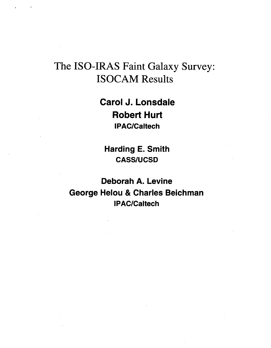# The ISO-IRAS Faint Galaxy Survey: ISOCAM Results

**Carol J. Lonsdale Robert Hurt IPACICaltech** 

**Harding E. Smith CASS/UCSD** 

**Deborah A. Levine George Helou** & **Charles Beichman IPAC/Caltech**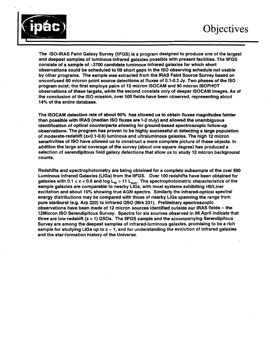

**The ISO-IRAS Faint Galaxy Survey (IIFGS) is a program designed to produce one of the largest and deepest samples of luminous infrared galaxies possible with present facilities. The IIFGS consists of a sample of -3700 candidate luminous infrared galaxies for which short observations could be scheduled to fill short gaps in the IS0 observing schedule not usable by other programs. The sample was extracted from the IRAS Faint Source Survey based on unconfused** *60* **micron point source detections at fluxes of 0.1-0.3 Jy. Two phases of the IS0 program exist; the first employs pairs of 12 micron ISOCAM and 90 micron ISOPHOT observations of these targets, while the second consists only of deeper ISOCAM images. As of the conclusion of the IS0 mission, over** *500* **fields have been observed, representing about 14% of the entire database.** 

**The ISOCAM detection rate of about 90% has allowed us to obtain fluxes magnitudes fainter than possible with IRAS (median IS0 fluxes are 1-2 mJy) and allowed the unambiguous identification of optical counterparts allowing for ground-based spectroscopic follow-up observations. The program has proven to be highly successful at detecting a large population of moderate-redshift (z=O.l-0.6) luminous and ultraluminous galaxies. The high 12 micron sensitivities of IS0 have allowed us to construct a more complete picture of these objects. In addition the large aria1 coverage of the survey (about one square degree) has produced a selection of serendipitous field galaxy detections that allow us to study 12 micron background counts.** 

**Redshifts and spectrophotometry are being obtained for a complete subsample of the over 500 Luminous Infrared Galaxies (LIGs) from the IIFGS. Over 100 redshifts have been obtained for galaxies with 0.1** *e* **z** < *0.6* **and log bir** > **11 L,,,. The spectrophotometric characteristics of the sample galaxies are comparable to nearby LIGs, with most systems exhibiting HlULiner excitation and about 10% showing true AGN spectra. Similarly the infrared-optical spectral energy distributions may be compared with those of nearby LlGs spanning the range from pure starburst (e.g. Arp 220) to infrared** *QSO* **(Mrk 231). Preliminary spectroscopic observations have been made of 12 micron sources identified outside our IRAS fields --the 12Micron IS0 Serendipitous Survey. Spectra for six sources observed in 98 April indicate that three are low redshift** *(z e* **1)** *QSOs.* **The IIFGS sample and the accompanying Serendipitous Survey are among the deepest samples of infrared-luminous galaxies, promising to be a rich sample for studying LIGs up to** *z* - **1, and for understanding the evolution of infrared galaxies and the star-formation history of the Universe.**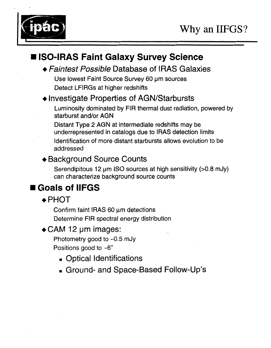

# ■ ISO-IRAS Faint Galaxy Survey Science

+ *Faintest Possible* Database of **IRAS** Galaxies

Use lowest Faint Source Survey 60 um sources Detect LFlRGs at higher redshifts

### $\triangle$  Investigate Properties of AGN/Starbursts

Luminosity dominated by FIR thermal dust radiation, powered by starburst and/or AGN

Distant Type **2** AGN at intermediate redshifts may be underrepresented in catalogs due to IRAS detection limits Identification of more distant starbursts allows evolution to be addressed

### ◆ Background Source Counts

Serendipitous 12  $\mu$ m ISO sources at high sensitivity (>0.8 mJy) can characterize background source counts

# **Goals of IIFGS**

 $\triangle$ PHOT

Confirm faint IRAS  $60 \mu m$  detections Determine FIR spectral energy distribution

### $\triangleleft$  CAM 12 µm images:

Photometry good to  $\sim$  0.5 mJy Positions good to *-6"* 

- Optical Identifications
- Ground- and Space-Based Follow-Up's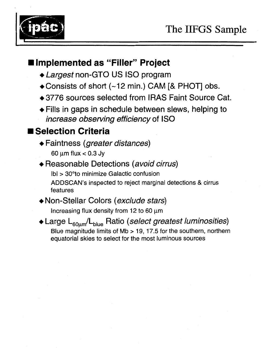



### **Implemented as "Filler" Project**

- + *Largest* non-GTO US IS0 program
- $\triangle$  Consists of short (~12 min.) CAM [& PHOT] obs.
- **+3776** sources selected from IRAS Faint Source Cat.
- $\triangle$  Fills in gaps in schedule between slews, helping to *increase observing efficiency* of ISO

# **Selection Criteria**

- + Faintness *(greater distances)*  60 pm flux *e* 0.3 Jy
- + Reasonable Detections *(avoid cirrus)*  Ibl > 30"to minimize Galactic confusion ADDSCAN'S inspected to reject marginal detections & cirrus features
- + Non-Stellar Colors *(exclude stars)*

Increasing flux density from 12 to 60  $\mu$ m

◆ Large L<sub>60um</sub>/L<sub>blue</sub> Ratio *(select greatest luminosities)* Blue magnitude limits of **Mb** > 19, **17.5** for the southern, northern equatorial skies to select for the most luminous sources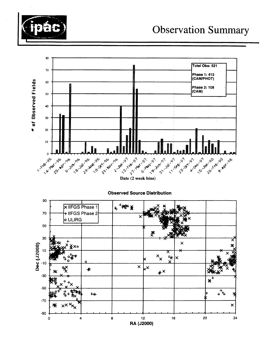



Date (2 week bins)

**Observed Source Distribution** 

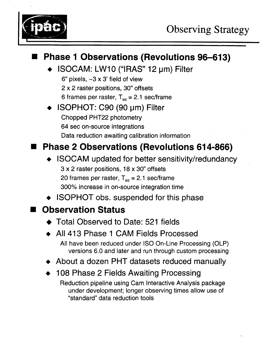

### **Phase 1 Observations (Revolutions 96-613)** ISOCAM: LW10 ("IRAS" 12 µm) Filter 6" pixels, **-3** x **3'** field of view 2 x 2 raster positions, *30"* offsets 6 frames per raster,  $T_{int} = 2.1$  sec/frame + ISOPHOT: C90 (90 pm) Filter Chopped PHT22 photometry **64** sec on-source integrations Data reduction awaiting calibration information **H Phase** *2* **Observations (Revolutions 614-866) ISOCAM** updated for better sensitivity/redundancy **3** x 2 raster positions, 18 x *30'* offsets 20 frames per raster,  $T_{int} = 2.1$  sec/frame *300%* increase in on-source integration time

**ISOPHOT** obs. suspended for this phase

# **Observation Status**

- ◆ Total Observed to Date: 521 fields
- + All **413** Phase 1 CAM Fields Processed

**All** have been reduced under IS0 On-Line Processing (OLP) versions 6.0 and later and run through custom processing

- + About a dozen PHT datasets reduced manually
- + 108 Phase 2 Fields Awaiting Processing

Reduction pipeline using Cam Interactive Analysis package under development; longer observing times allow use of "standard" data reduction tools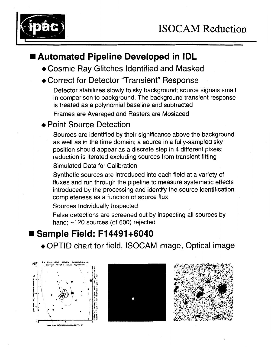

# **1 Automated Pipeline Developed in IDL**

- +Cosmic Ray Glitches Identified and Masked
- ◆ Correct for Detector "Transient" Response

Detector stabilizes slowly to sky background; source signals small in comparison to background. The background transient response is treated as a polynomial baseline and subtracted

Frames are Averaged and Rasters are Mosiaced

#### ◆ Point Source Detection

Sources are identified by their significance above the background as well as in the time domain; a source in a fully-sampled sky position should appear as a discrete step in **4** different pixels; reduction is iterated excluding sources from transient fitting

Simulated Data for Calibration

Synthetic sources are introduced into each field at a variety of fluxes and run through the pipeline to measure systematic effects introduced by the processing and identify the source identification completeness as a function of source flux

Sources Individually Inspected

False detections are screened out by inspecting all sources by hand; ~120 sources (of 600) rejected

### ■ Sample Field: F14491+6040

+OPTID chart for field, ISOCAM image, Optical image





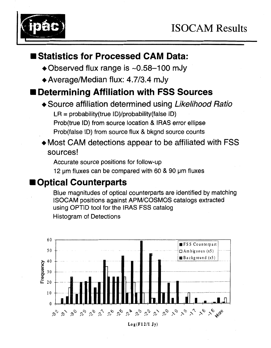

### **Statistics for Processed CAM Data:**

- +Observed flux range is -0.58-1 *00* mJy
- ◆ Average/Median flux: 4.7/3.4 mJy

# **Determining Affiliation with FSS Sources**

- +Source affiliation determined using *Likelihood Ratio*   $LR = probability(true ID)/probability(false ID)$ Prob(true ID) from source location & IRAS error ellipse Prob(false ID) from source flux & bkgnd source counts
- +Most CAM detections appear to be affiliated with FSS sources!

Accurate source positions for follow-up

12 um fluxes can be compared with 60 & 90 um fluxes

### **Optical Counterparts**

Blue magnitudes of optical counterparts are identified by matching ISOCAM positions against APM/COSMOS catalogs extracted using OPTlD tool for the IRAS FSS catalog Histogram of Detections

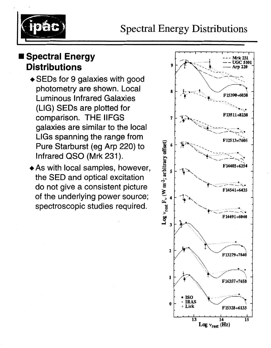

# **Spectral Energy Distributions**

- +SEDs for 9 galaxies with good photometry are shown. Local Luminous Infrared Galaxies (LIG) SEDs are plotted for comparison. THE IIFGS galaxies are similar to the local LlGs spanning the range from Pure Starburst (eg Arp 220) to Infrared QSO (Mrk **231).**
- $\triangle$  As with local samples, however, the SED and optical excitation do not give a consistent picture of the underlying power source; spectroscopic studies required.

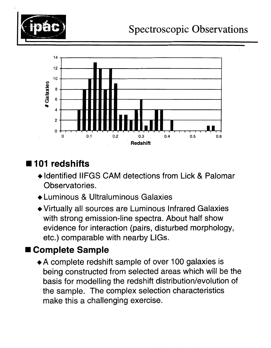



# **101 redshifts**

- + Identified IIFGS CAM detections from Lick & Palomar Observatories.
- +Luminous & Ultraluminous Galaxies
- +Virtually all sources are Luminous Infrared Galaxies with strong emission-line spectra. About half show evidence for interaction (pairs, disturbed morphology, etc.) comparable with nearby LIGs.

### **Complete Sample**

+A complete redshift sample of over 100 galaxies is being constructed from selected areas which will be the basis for modelling the redshift distribution/evolution of the sample. The complex selection characteristics make this a challenging exercise.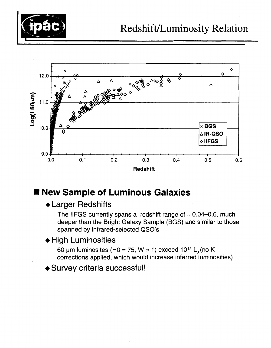



### **New Sample of Luminous Galaxies**

#### +Larger Redshifts

The IIFGS currently spans a redshift range of  $\sim 0.04 - 0.6$ , much deeper than the Bright Galaxy Sample (BGS) and similar to those spanned by infrared-selected *QSO's* 

#### + High Luminosities

60 µm luminosites (H0 = 75, W = 1) exceed  $10^{12}$  L<sub>0</sub> (no Kcorrections applied, which would increase inferred luminosities)

+Survey criteria successful!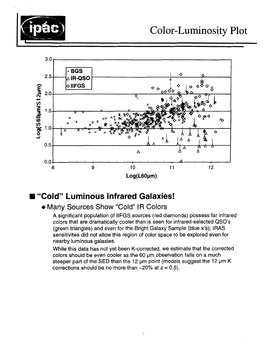



#### **"Cold" Luminous Infrared Galaxies!**

#### + Many Sources Show "Cold" IR Colors

**A** significant population of IIFGS sources (red diamonds) possess far infrared colors that are dramatically cooler than is seen for infrared-selected *QSO's*  (green triangles) and even for the Bright Galaxy Sample (blue x's); **IRAS**  sensitivites did not allow this region of color space to be explored even for nearby luminous galaxies.

While this data has not yet been K-corrected, we estimate that the corrected colors should be even cooler as the 60  $\mu$ m observation falls on a much steeper part of the SED than the 12 um point (models suggest the 12 um K corrections should be no more than  $\sim$  20% at  $z = 0.5$ ).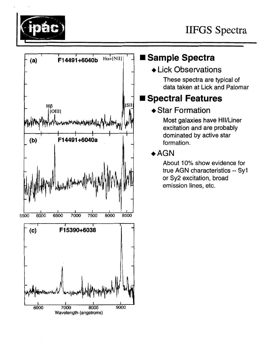



# Sample Spectra

### **+Lick Observations**

These spectra are typical of data taken at Lick and Palomar

# **Spectral Features**

### ◆ Star Formation

Most galaxies have HII/Liner excitation and are probably dominated by active star formation.

### $\triangle$ AGN

About 10% show evidence for true **AGN** characteristics -- Syl or Sy2 excitation, broad emission lines, etc.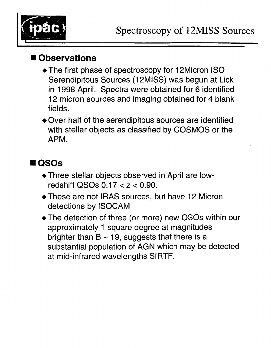

### **Observations**

- The first phase of spectroscopy for 12Micron ISO Serendipitous Sources (12MISS) was begun at Lick in 1998 April. Spectra were obtained for *6* identified **12** micron sources and imaging obtained for 4 blank fields.
- +Over half of the serendipitous sources are identified with stellar objects as classified by COSMOS or the APM.

# *QSOs*

- +Three stellar objects observed in April are low redshift QSOs 0.17 < *z* < 0.90.
- +These are not IRAS sources, but have 12 Micron detections by ISOCAM
- +The detection of three (or more) new QSOs within our approximately 1 square degree at magnitudes brighter than  $B \sim 19$ , suggests that there is a substantial population of AGN which may be detected at mid-infrared wavelengths SIRTF.